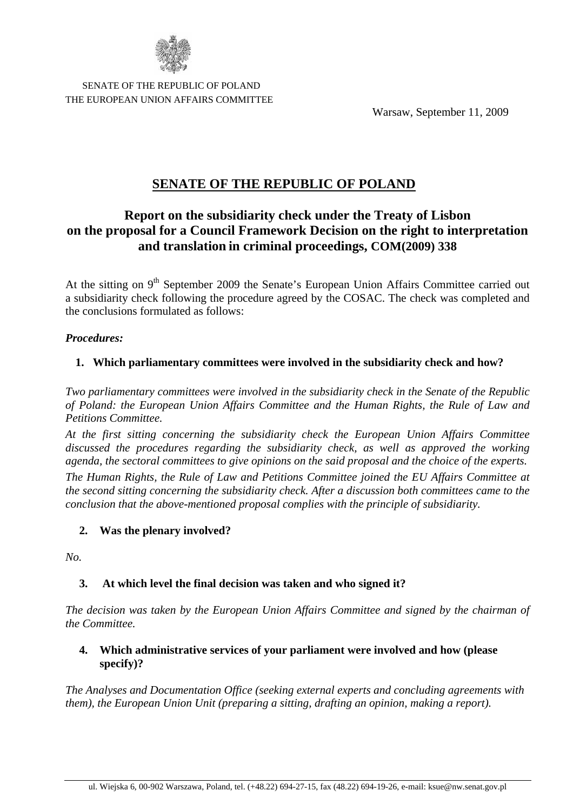

 SENATE OF THE REPUBLIC OF POLAND THE EUROPEAN UNION AFFAIRS COMMITTEE

Warsaw, September 11, 2009

# **SENATE OF THE REPUBLIC OF POLAND**

# **Report on the subsidiarity check under the Treaty of Lisbon on the proposal for a Council Framework Decision on the right to interpretation and translation in criminal proceedings, COM(2009) 338**

At the sitting on 9<sup>th</sup> September 2009 the Senate's European Union Affairs Committee carried out a subsidiarity check following the procedure agreed by the COSAC. The check was completed and the conclusions formulated as follows:

#### *Procedures:*

## **1. Which parliamentary committees were involved in the subsidiarity check and how?**

*Two parliamentary committees were involved in the subsidiarity check in the Senate of the Republic of Poland: the European Union Affairs Committee and the Human Rights, the Rule of Law and Petitions Committee.*

*At the first sitting concerning the subsidiarity check the European Union Affairs Committee discussed the procedures regarding the subsidiarity check, as well as approved the working agenda, the sectoral committees to give opinions on the said proposal and the choice of the experts.*

*The Human Rights, the Rule of Law and Petitions Committee joined the EU Affairs Committee at the second sitting concerning the subsidiarity check. After a discussion both committees came to the conclusion that the above-mentioned proposal complies with the principle of subsidiarity.*

## **2. Was the plenary involved?**

*No.*

## **3. At which level the final decision was taken and who signed it?**

*The decision was taken by the European Union Affairs Committee and signed by the chairman of the Committee.*

## **4. Which administrative services of your parliament were involved and how (please specify)?**

*The Analyses and Documentation Office (seeking external experts and concluding agreements with them), the European Union Unit (preparing a sitting, drafting an opinion, making a report).*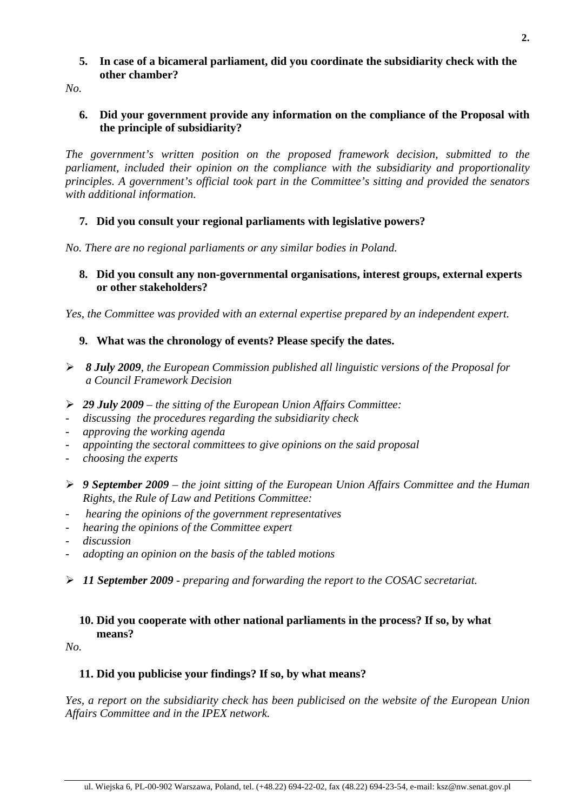### **5. In case of a bicameral parliament, did you coordinate the subsidiarity check with the other chamber?**

*No.*

## **6. Did your government provide any information on the compliance of the Proposal with the principle of subsidiarity?**

*The government's written position on the proposed framework decision, submitted to the parliament, included their opinion on the compliance with the subsidiarity and proportionality principles. A government's official took part in the Committee's sitting and provided the senators with additional information.*

## **7. Did you consult your regional parliaments with legislative powers?**

*No. There are no regional parliaments or any similar bodies in Poland.*

## **8. Did you consult any non-governmental organisations, interest groups, external experts or other stakeholders?**

*Yes, the Committee was provided with an external expertise prepared by an independent expert.*

## **9. What was the chronology of events? Please specify the dates.**

- ¾ *8 July 2009, the European Commission published all linguistic versions of the Proposal for a Council Framework Decision*
- ¾ *29 July 2009 the sitting of the European Union Affairs Committee:*
- *discussing the procedures regarding the subsidiarity check*
- *approving the working agenda*
- *appointing the sectoral committees to give opinions on the said proposal*
- *choosing the experts*
- ¾ *9 September 2009 the joint sitting of the European Union Affairs Committee and the Human Rights, the Rule of Law and Petitions Committee:*
- - *hearing the opinions of the government representatives*
- *hearing the opinions of the Committee expert*
- *discussion*
- *adopting an opinion on the basis of the tabled motions*
- ¾ *11 September 2009 preparing and forwarding the report to the COSAC secretariat.*

## **10. Did you cooperate with other national parliaments in the process? If so, by what means?**

*No.*

## **11. Did you publicise your findings? If so, by what means?**

*Yes, a report on the subsidiarity check has been publicised on the website of the European Union Affairs Committee and in the IPEX network.*